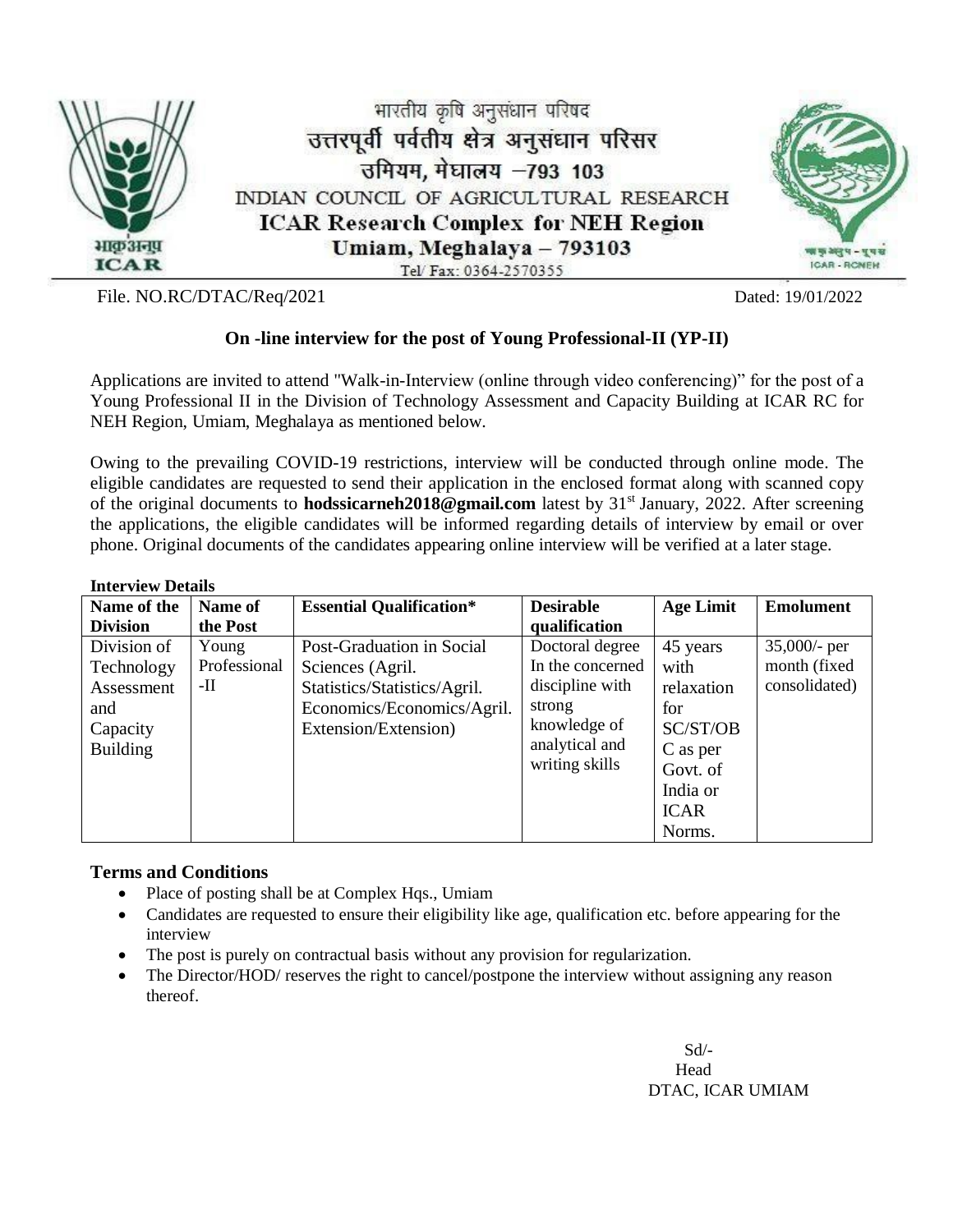

File. NO.RC/DTAC/Req/2021 Dated: 19/01/2022

# **On -line interview for the post of Young Professional-II (YP-II)**

Applications are invited to attend "Walk-in-Interview (online through video conferencing)" for the post of a Young Professional II in the Division of Technology Assessment and Capacity Building at ICAR RC for NEH Region, Umiam, Meghalaya as mentioned below.

Owing to the prevailing COVID-19 restrictions, interview will be conducted through online mode. The eligible candidates are requested to send their application in the enclosed format along with scanned copy of the original documents to **hodssicarneh2018@gmail.com** latest by 31<sup>st</sup> January, 2022. After screening the applications, the eligible candidates will be informed regarding details of interview by email or over phone. Original documents of the candidates appearing online interview will be verified at a later stage.

#### **Interview Details**

| mitti vit vi Delans |              |                                 |                  |                  |                  |
|---------------------|--------------|---------------------------------|------------------|------------------|------------------|
| Name of the         | Name of      | <b>Essential Qualification*</b> | <b>Desirable</b> | <b>Age Limit</b> | <b>Emolument</b> |
| <b>Division</b>     | the Post     |                                 | qualification    |                  |                  |
| Division of         | Young        | Post-Graduation in Social       | Doctoral degree  | 45 years         | $35,000/$ - per  |
| Technology          | Professional | Sciences (Agril.                | In the concerned | with             | month (fixed     |
| Assessment          | -11          | Statistics/Statistics/Agril.    | discipline with  | relaxation       | consolidated)    |
| and                 |              | Economics/Economics/Agril.      | strong           | for              |                  |
| Capacity            |              | Extension/Extension)            | knowledge of     | SC/ST/OB         |                  |
| <b>Building</b>     |              |                                 | analytical and   | C as per         |                  |
|                     |              |                                 | writing skills   | Govt. of         |                  |
|                     |              |                                 |                  | India or         |                  |
|                     |              |                                 |                  | <b>ICAR</b>      |                  |
|                     |              |                                 |                  | Norms.           |                  |

### **Terms and Conditions**

- Place of posting shall be at Complex Hqs., Umiam
- Candidates are requested to ensure their eligibility like age, qualification etc. before appearing for the interview
- The post is purely on contractual basis without any provision for regularization.
- The Director/HOD/ reserves the right to cancel/postpone the interview without assigning any reason thereof.

 Sd/- **Head Head** DTAC, ICAR UMIAM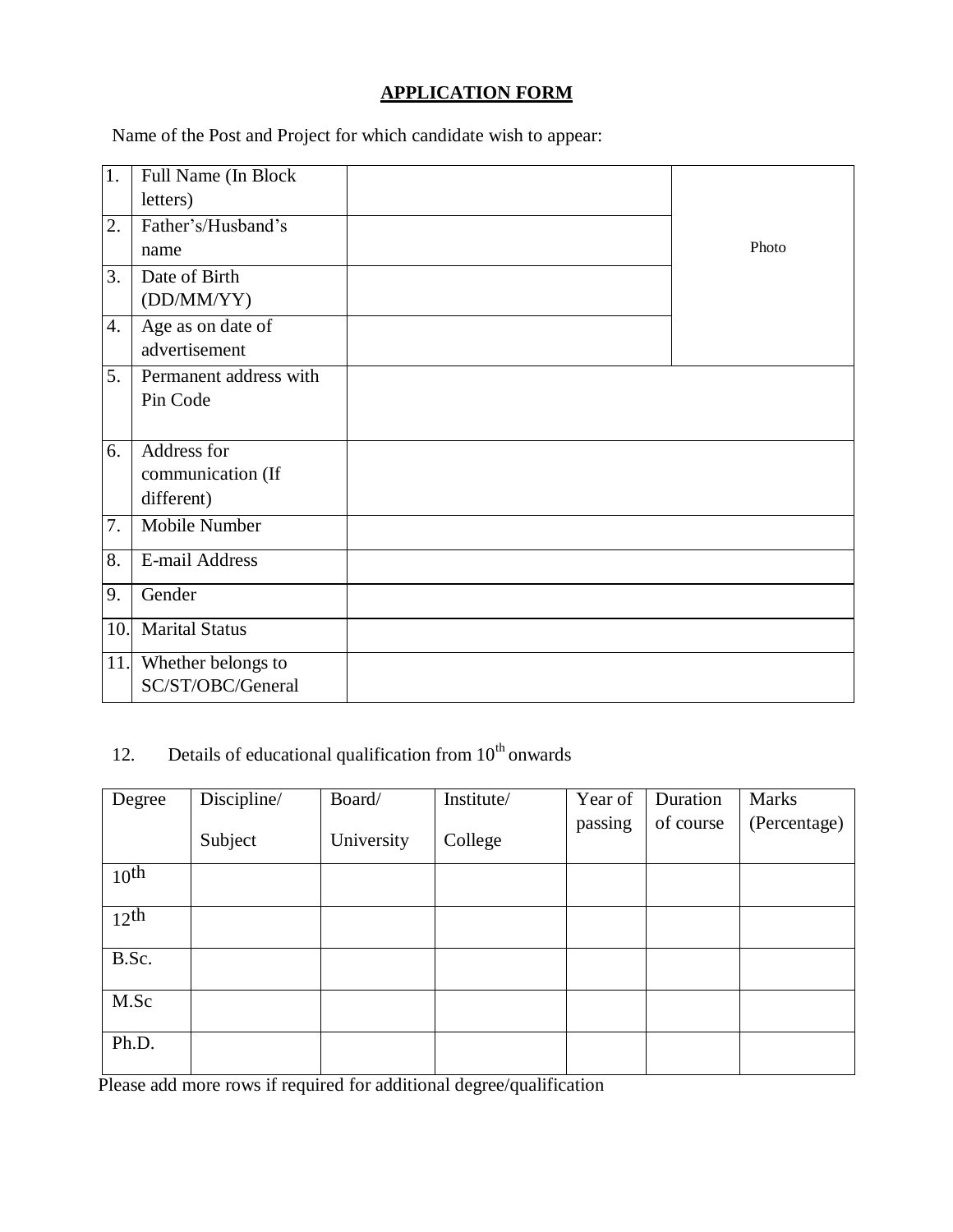## **APPLICATION FORM**

Name of the Post and Project for which candidate wish to appear:

| 1.  | Full Name (In Block    |       |
|-----|------------------------|-------|
|     | letters)               |       |
| 2.  | Father's/Husband's     |       |
|     | name                   | Photo |
| 3.  | Date of Birth          |       |
|     | (DD/MM/YY)             |       |
| 4.  | Age as on date of      |       |
|     | advertisement          |       |
| 5.  | Permanent address with |       |
|     | Pin Code               |       |
|     |                        |       |
| 6.  | Address for            |       |
|     | communication (If      |       |
|     | different)             |       |
| 7.  | Mobile Number          |       |
| 8.  | E-mail Address         |       |
|     |                        |       |
| 9.  | Gender                 |       |
| 10. | <b>Marital Status</b>  |       |
| 11. | Whether belongs to     |       |
|     | SC/ST/OBC/General      |       |

## 12. Details of educational qualification from  $10<sup>th</sup>$  onwards

| Degree             | Discipline/ | Board/     | Institute/ | Year of | Duration  | Marks        |
|--------------------|-------------|------------|------------|---------|-----------|--------------|
|                    | Subject     | University | College    | passing | of course | (Percentage) |
| 10 <sup>th</sup>   |             |            |            |         |           |              |
| $12$ <sup>th</sup> |             |            |            |         |           |              |
| B.Sc.              |             |            |            |         |           |              |
| M.Sc               |             |            |            |         |           |              |
| Ph.D.              |             |            |            |         |           |              |

Please add more rows if required for additional degree/qualification